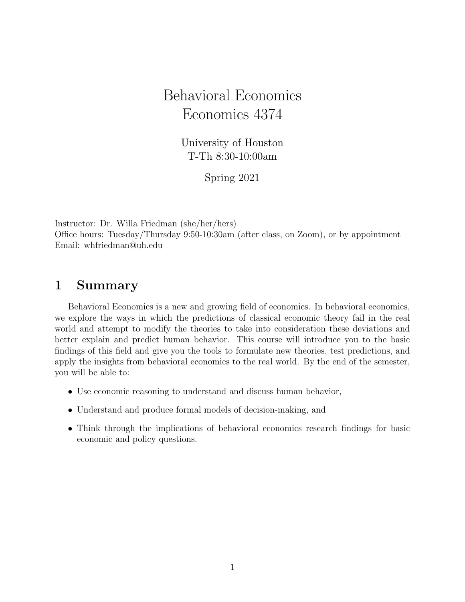# Behavioral Economics Economics 4374

University of Houston T-Th 8:30-10:00am

Spring 2021

Instructor: Dr. Willa Friedman (she/her/hers) Office hours: Tuesday/Thursday 9:50-10:30am (after class, on Zoom), or by appointment Email: whfriedman@uh.edu

## 1 Summary

Behavioral Economics is a new and growing field of economics. In behavioral economics, we explore the ways in which the predictions of classical economic theory fail in the real world and attempt to modify the theories to take into consideration these deviations and better explain and predict human behavior. This course will introduce you to the basic findings of this field and give you the tools to formulate new theories, test predictions, and apply the insights from behavioral economics to the real world. By the end of the semester, you will be able to:

- Use economic reasoning to understand and discuss human behavior,
- Understand and produce formal models of decision-making, and
- Think through the implications of behavioral economics research findings for basic economic and policy questions.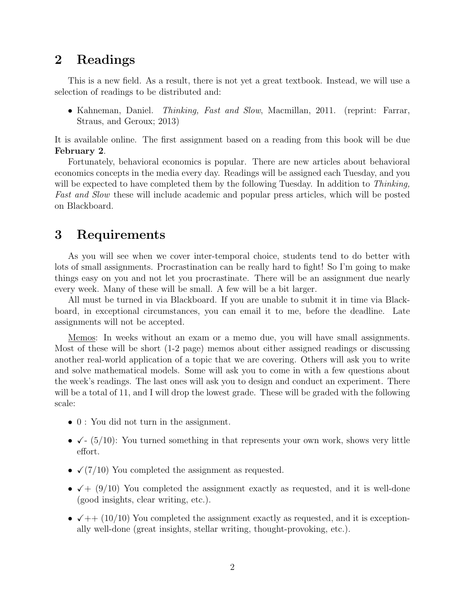### 2 Readings

This is a new field. As a result, there is not yet a great textbook. Instead, we will use a selection of readings to be distributed and:

• Kahneman, Daniel. *Thinking, Fast and Slow*, Macmillan, 2011. (reprint: Farrar, Straus, and Geroux; 2013)

It is available online. The first assignment based on a reading from this book will be due February 2.

Fortunately, behavioral economics is popular. There are new articles about behavioral economics concepts in the media every day. Readings will be assigned each Tuesday, and you will be expected to have completed them by the following Tuesday. In addition to *Thinking*, Fast and Slow these will include academic and popular press articles, which will be posted on Blackboard.

## 3 Requirements

As you will see when we cover inter-temporal choice, students tend to do better with lots of small assignments. Procrastination can be really hard to fight! So I'm going to make things easy on you and not let you procrastinate. There will be an assignment due nearly every week. Many of these will be small. A few will be a bit larger.

All must be turned in via Blackboard. If you are unable to submit it in time via Blackboard, in exceptional circumstances, you can email it to me, before the deadline. Late assignments will not be accepted.

Memos: In weeks without an exam or a memo due, you will have small assignments. Most of these will be short (1-2 page) memos about either assigned readings or discussing another real-world application of a topic that we are covering. Others will ask you to write and solve mathematical models. Some will ask you to come in with a few questions about the week's readings. The last ones will ask you to design and conduct an experiment. There will be a total of 11, and I will drop the lowest grade. These will be graded with the following scale:

- 0 : You did not turn in the assignment.
- $\checkmark$  (5/10): You turned something in that represents your own work, shows very little effort.
- $\checkmark$  (7/10) You completed the assignment as requested.
- $\sqrt{+}$  (9/10) You completed the assignment exactly as requested, and it is well-done (good insights, clear writing, etc.).
- $\sqrt{++}$  (10/10) You completed the assignment exactly as requested, and it is exceptionally well-done (great insights, stellar writing, thought-provoking, etc.).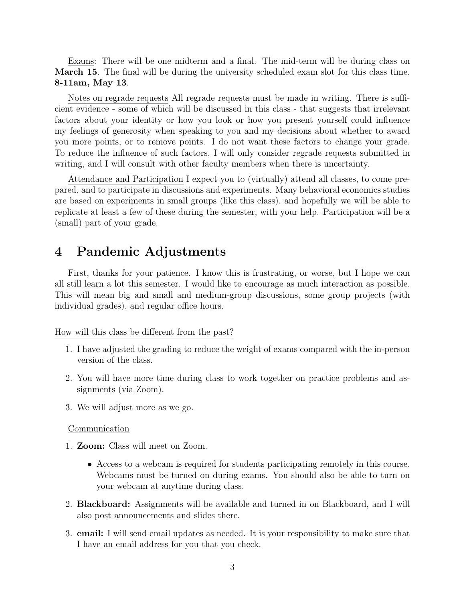Exams: There will be one midterm and a final. The mid-term will be during class on March 15. The final will be during the university scheduled exam slot for this class time, 8-11am, May 13.

Notes on regrade requests All regrade requests must be made in writing. There is sufficient evidence - some of which will be discussed in this class - that suggests that irrelevant factors about your identity or how you look or how you present yourself could influence my feelings of generosity when speaking to you and my decisions about whether to award you more points, or to remove points. I do not want these factors to change your grade. To reduce the influence of such factors, I will only consider regrade requests submitted in writing, and I will consult with other faculty members when there is uncertainty.

Attendance and Participation I expect you to (virtually) attend all classes, to come prepared, and to participate in discussions and experiments. Many behavioral economics studies are based on experiments in small groups (like this class), and hopefully we will be able to replicate at least a few of these during the semester, with your help. Participation will be a (small) part of your grade.

### 4 Pandemic Adjustments

First, thanks for your patience. I know this is frustrating, or worse, but I hope we can all still learn a lot this semester. I would like to encourage as much interaction as possible. This will mean big and small and medium-group discussions, some group projects (with individual grades), and regular office hours.

How will this class be different from the past?

- 1. I have adjusted the grading to reduce the weight of exams compared with the in-person version of the class.
- 2. You will have more time during class to work together on practice problems and assignments (via Zoom).
- 3. We will adjust more as we go.

#### Communication

- 1. Zoom: Class will meet on Zoom.
	- Access to a webcam is required for students participating remotely in this course. Webcams must be turned on during exams. You should also be able to turn on your webcam at anytime during class.
- 2. Blackboard: Assignments will be available and turned in on Blackboard, and I will also post announcements and slides there.
- 3. email: I will send email updates as needed. It is your responsibility to make sure that I have an email address for you that you check.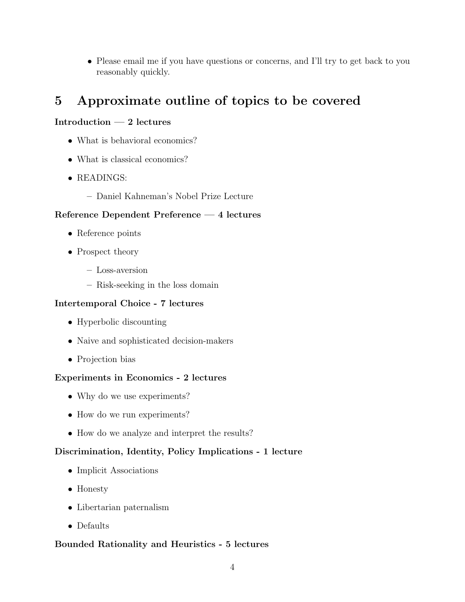• Please email me if you have questions or concerns, and I'll try to get back to you reasonably quickly.

## 5 Approximate outline of topics to be covered

#### Introduction — 2 lectures

- What is behavioral economics?
- What is classical economics?
- READINGS:
	- Daniel Kahneman's Nobel Prize Lecture

#### Reference Dependent Preference — 4 lectures

- Reference points
- Prospect theory
	- Loss-aversion
	- Risk-seeking in the loss domain

#### Intertemporal Choice - 7 lectures

- Hyperbolic discounting
- Naive and sophisticated decision-makers
- Projection bias

#### Experiments in Economics - 2 lectures

- Why do we use experiments?
- How do we run experiments?
- How do we analyze and interpret the results?

#### Discrimination, Identity, Policy Implications - 1 lecture

- Implicit Associations
- Honesty
- Libertarian paternalism
- Defaults

#### Bounded Rationality and Heuristics - 5 lectures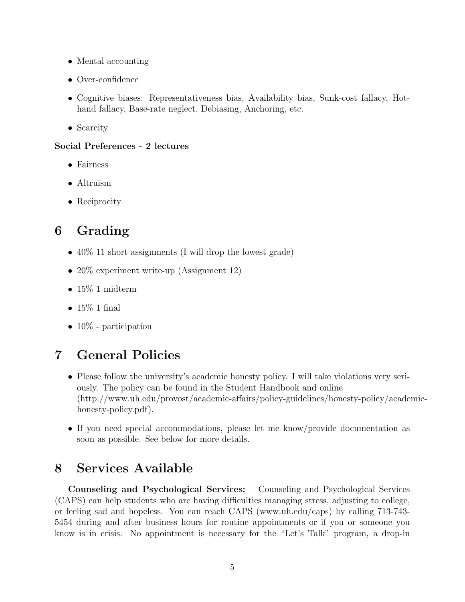- Mental accounting
- Over-confidence
- Cognitive biases: Representativeness bias, Availability bias, Sunk-cost fallacy, Hothand fallacy, Base-rate neglect, Debiasing, Anchoring, etc.
- Scarcity

#### Social Preferences - 2 lectures

- Fairness
- Altruism
- Reciprocity

## 6 Grading

- $40\%$  11 short assignments (I will drop the lowest grade)
- 20% experiment write-up (Assignment 12)
- $\bullet$  15% 1 midterm
- $15\%$  1 final
- $10\%$  participation

## 7 General Policies

- Please follow the university's academic honesty policy. I will take violations very seriously. The policy can be found in the Student Handbook and online (http://www.uh.edu/provost/academic-affairs/policy-guidelines/honesty-policy/academichonesty-policy.pdf).
- If you need special accommodations, please let me know/provide documentation as soon as possible. See below for more details.

## 8 Services Available

Counseling and Psychological Services: Counseling and Psychological Services (CAPS) can help students who are having difficulties managing stress, adjusting to college, or feeling sad and hopeless. You can reach CAPS (www.uh.edu/caps) by calling 713-743- 5454 during and after business hours for routine appointments or if you or someone you know is in crisis. No appointment is necessary for the "Let's Talk" program, a drop-in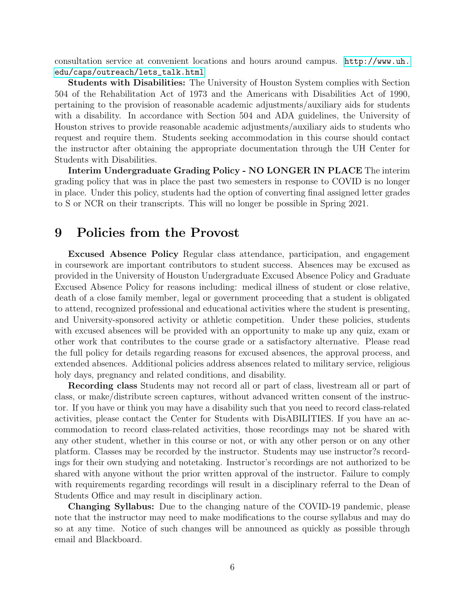consultation service at convenient locations and hours around campus. [http://www.uh.](http://www.uh.edu/caps/outreach/lets_talk.html) [edu/caps/outreach/lets\\_talk.html](http://www.uh.edu/caps/outreach/lets_talk.html)

Students with Disabilities: The University of Houston System complies with Section 504 of the Rehabilitation Act of 1973 and the Americans with Disabilities Act of 1990, pertaining to the provision of reasonable academic adjustments/auxiliary aids for students with a disability. In accordance with Section 504 and ADA guidelines, the University of Houston strives to provide reasonable academic adjustments/auxiliary aids to students who request and require them. Students seeking accommodation in this course should contact the instructor after obtaining the appropriate documentation through the UH Center for Students with Disabilities.

Interim Undergraduate Grading Policy - NO LONGER IN PLACE The interim grading policy that was in place the past two semesters in response to COVID is no longer in place. Under this policy, students had the option of converting final assigned letter grades to S or NCR on their transcripts. This will no longer be possible in Spring 2021.

### 9 Policies from the Provost

Excused Absence Policy Regular class attendance, participation, and engagement in coursework are important contributors to student success. Absences may be excused as provided in the University of Houston Undergraduate Excused Absence Policy and Graduate Excused Absence Policy for reasons including: medical illness of student or close relative, death of a close family member, legal or government proceeding that a student is obligated to attend, recognized professional and educational activities where the student is presenting, and University-sponsored activity or athletic competition. Under these policies, students with excused absences will be provided with an opportunity to make up any quiz, exam or other work that contributes to the course grade or a satisfactory alternative. Please read the full policy for details regarding reasons for excused absences, the approval process, and extended absences. Additional policies address absences related to military service, religious holy days, pregnancy and related conditions, and disability.

Recording class Students may not record all or part of class, livestream all or part of class, or make/distribute screen captures, without advanced written consent of the instructor. If you have or think you may have a disability such that you need to record class-related activities, please contact the Center for Students with DisABILITIES. If you have an accommodation to record class-related activities, those recordings may not be shared with any other student, whether in this course or not, or with any other person or on any other platform. Classes may be recorded by the instructor. Students may use instructor?s recordings for their own studying and notetaking. Instructor's recordings are not authorized to be shared with anyone without the prior written approval of the instructor. Failure to comply with requirements regarding recordings will result in a disciplinary referral to the Dean of Students Office and may result in disciplinary action.

Changing Syllabus: Due to the changing nature of the COVID-19 pandemic, please note that the instructor may need to make modifications to the course syllabus and may do so at any time. Notice of such changes will be announced as quickly as possible through email and Blackboard.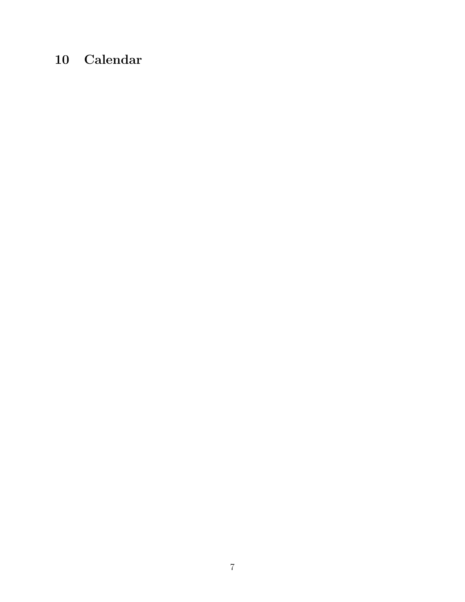# 10 Calendar